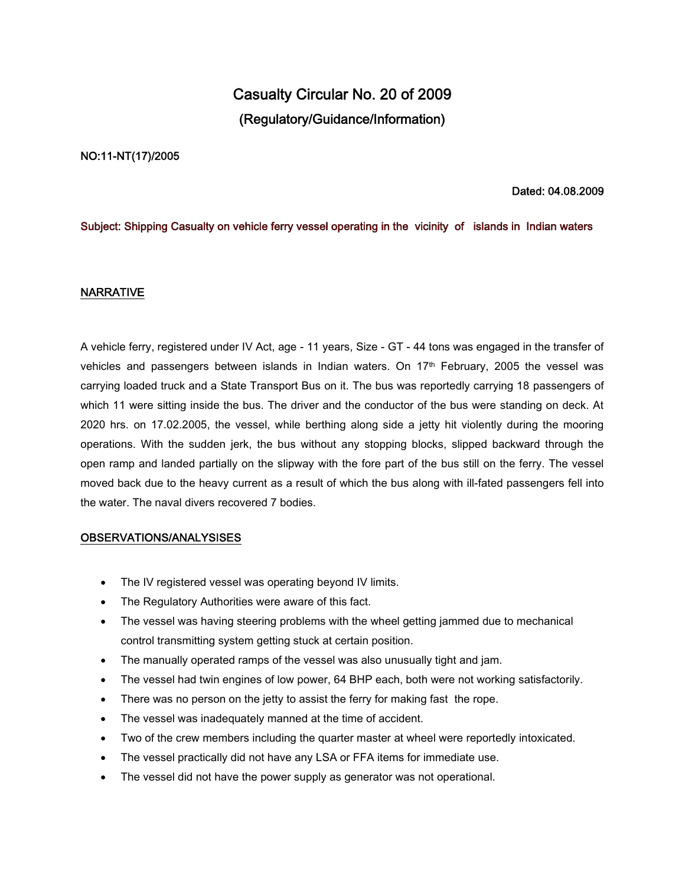# **Casualty Circular No. 20 of 2009 (Regulatory/Guidance/Information)**

### **NO:11-NT(17)/2005**

## **Dated: 04.08.2009**

## **Subject: Shipping Casualty on vehicle ferry vessel operating in the vicinity of islands in Indian waters**

### **NARRATIVE**

A vehicle ferry, registered under IV Act, age - 11 years, Size - GT - 44 tons was engaged in the transfer of vehicles and passengers between islands in Indian waters. On 17th February, 2005 the vessel was carrying loaded truck and a State Transport Bus on it. The bus was reportedly carrying 18 passengers of which 11 were sitting inside the bus. The driver and the conductor of the bus were standing on deck. At 2020 hrs. on 17.02.2005, the vessel, while berthing along side a jetty hit violently during the mooring operations. With the sudden jerk, the bus without any stopping blocks, slipped backward through the open ramp and landed partially on the slipway with the fore part of the bus still on the ferry. The vessel moved back due to the heavy current as a result of which the bus along with ill-fated passengers fell into the water. The naval divers recovered 7 bodies.

### **OBSERVATIONS/ANALYSISES**

- The IV registered vessel was operating beyond IV limits.
- The Regulatory Authorities were aware of this fact.
- The vessel was having steering problems with the wheel getting jammed due to mechanical control transmitting system getting stuck at certain position.
- The manually operated ramps of the vessel was also unusually tight and jam.
- The vessel had twin engines of low power, 64 BHP each, both were not working satisfactorily.
- There was no person on the jetty to assist the ferry for making fast the rope.
- The vessel was inadequately manned at the time of accident.
- Two of the crew members including the quarter master at wheel were reportedly intoxicated.
- The vessel practically did not have any LSA or FFA items for immediate use.
- The vessel did not have the power supply as generator was not operational.